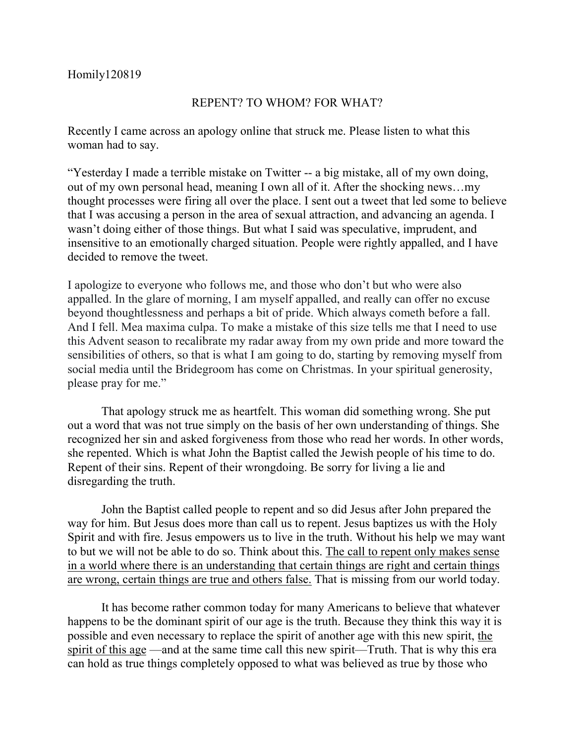## Homily120819

## REPENT? TO WHOM? FOR WHAT?

Recently I came across an apology online that struck me. Please listen to what this woman had to say.

"Yesterday I made a terrible mistake on Twitter -- a big mistake, all of my own doing, out of my own personal head, meaning I own all of it. After the shocking news…my thought processes were firing all over the place. I sent out a tweet that led some to believe that I was accusing a person in the area of sexual attraction, and advancing an agenda. I wasn't doing either of those things. But what I said was speculative, imprudent, and insensitive to an emotionally charged situation. People were rightly appalled, and I have decided to remove the tweet.

I apologize to everyone who follows me, and those who don't but who were also appalled. In the glare of morning, I am myself appalled, and really can offer no excuse beyond thoughtlessness and perhaps a bit of pride. Which always cometh before a fall. And I fell. Mea maxima culpa. To make a mistake of this size tells me that I need to use this Advent season to recalibrate my radar away from my own pride and more toward the sensibilities of others, so that is what I am going to do, starting by removing myself from social media until the Bridegroom has come on Christmas. In your spiritual generosity, please pray for me."

That apology struck me as heartfelt. This woman did something wrong. She put out a word that was not true simply on the basis of her own understanding of things. She recognized her sin and asked forgiveness from those who read her words. In other words, she repented. Which is what John the Baptist called the Jewish people of his time to do. Repent of their sins. Repent of their wrongdoing. Be sorry for living a lie and disregarding the truth.

John the Baptist called people to repent and so did Jesus after John prepared the way for him. But Jesus does more than call us to repent. Jesus baptizes us with the Holy Spirit and with fire. Jesus empowers us to live in the truth. Without his help we may want to but we will not be able to do so. Think about this. The call to repent only makes sense in a world where there is an understanding that certain things are right and certain things are wrong, certain things are true and others false. That is missing from our world today.

It has become rather common today for many Americans to believe that whatever happens to be the dominant spirit of our age is the truth. Because they think this way it is possible and even necessary to replace the spirit of another age with this new spirit, the spirit of this age —and at the same time call this new spirit—Truth. That is why this era can hold as true things completely opposed to what was believed as true by those who